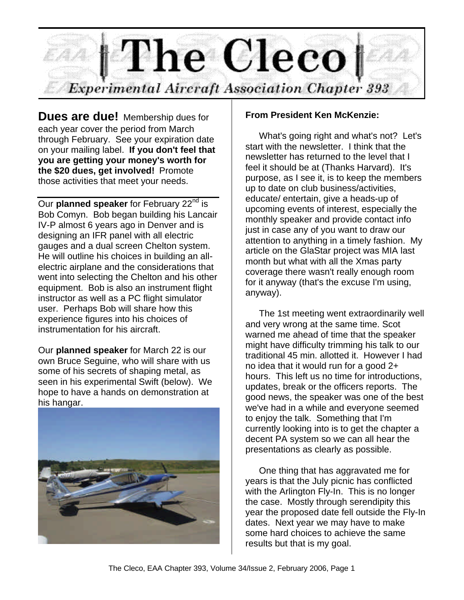

**Dues are due!** Membership dues for each year cover the period from March through February. See your expiration date on your mailing label. **If you don't feel that you are getting your money's worth for the \$20 dues, get involved!** Promote those activities that meet your needs.

Our **planned speaker** for February 22<sup>nd</sup> is Bob Comyn. Bob began building his Lancair IV-P almost 6 years ago in Denver and is designing an IFR panel with all electric gauges and a dual screen Chelton system. He will outline his choices in building an allelectric airplane and the considerations that went into selecting the Chelton and his other equipment. Bob is also an instrument flight instructor as well as a PC flight simulator user. Perhaps Bob will share how this experience figures into his choices of instrumentation for his aircraft.

Our **planned speaker** for March 22 is our own Bruce Seguine, who will share with us some of his secrets of shaping metal, as seen in his experimental Swift (below). We hope to have a hands on demonstration at his hangar.



## **From President Ken McKenzie:**

What's going right and what's not? Let's start with the newsletter. I think that the newsletter has returned to the level that I feel it should be at (Thanks Harvard). It's purpose, as I see it, is to keep the members up to date on club business/activities, educate/ entertain, give a heads-up of upcoming events of interest, especially the monthly speaker and provide contact info just in case any of you want to draw our attention to anything in a timely fashion. My article on the GlaStar project was MIA last month but what with all the Xmas party coverage there wasn't really enough room for it anyway (that's the excuse I'm using, anyway).

The 1st meeting went extraordinarily well and very wrong at the same time. Scot warned me ahead of time that the speaker might have difficulty trimming his talk to our traditional 45 min. allotted it. However I had no idea that it would run for a good 2+ hours. This left us no time for introductions, updates, break or the officers reports. The good news, the speaker was one of the best we've had in a while and everyone seemed to enjoy the talk. Something that I'm currently looking into is to get the chapter a decent PA system so we can all hear the presentations as clearly as possible.

One thing that has aggravated me for years is that the July picnic has conflicted with the Arlington Fly-In. This is no longer the case. Mostly through serendipity this year the proposed date fell outside the Fly-In dates. Next year we may have to make some hard choices to achieve the same results but that is my goal.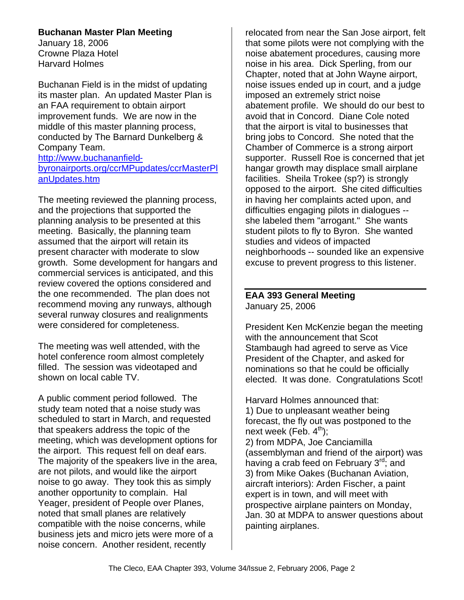## **Buchanan Master Plan Meeting**

January 18, 2006 Crowne Plaza Hotel Harvard Holmes

Buchanan Field is in the midst of updating its master plan. An updated Master Plan is an FAA requirement to obtain airport improvement funds. We are now in the middle of this master planning process, conducted by The Barnard Dunkelberg & Company Team.

http://www.buchananfieldbyronairports.org/ccrMPupdates/ccrMasterPl anUpdates.htm

The meeting reviewed the planning process, and the projections that supported the planning analysis to be presented at this meeting. Basically, the planning team assumed that the airport will retain its present character with moderate to slow growth. Some development for hangars and commercial services is anticipated, and this review covered the options considered and the one recommended. The plan does not recommend moving any runways, although several runway closures and realignments were considered for completeness.

The meeting was well attended, with the hotel conference room almost completely filled. The session was videotaped and shown on local cable TV.

A public comment period followed. The study team noted that a noise study was scheduled to start in March, and requested that speakers address the topic of the meeting, which was development options for the airport. This request fell on deaf ears. The majority of the speakers live in the area, are not pilots, and would like the airport noise to go away. They took this as simply another opportunity to complain. Hal Yeager, president of People over Planes, noted that small planes are relatively compatible with the noise concerns, while business jets and micro jets were more of a noise concern. Another resident, recently

relocated from near the San Jose airport, felt that some pilots were not complying with the noise abatement procedures, causing more noise in his area. Dick Sperling, from our Chapter, noted that at John Wayne airport, noise issues ended up in court, and a judge imposed an extremely strict noise abatement profile. We should do our best to avoid that in Concord. Diane Cole noted that the airport is vital to businesses that bring jobs to Concord. She noted that the Chamber of Commerce is a strong airport supporter. Russell Roe is concerned that jet hangar growth may displace small airplane facilities. Sheila Trokee (sp?) is strongly opposed to the airport. She cited difficulties in having her complaints acted upon, and difficulties engaging pilots in dialogues - she labeled them "arrogant." She wants student pilots to fly to Byron. She wanted studies and videos of impacted neighborhoods -- sounded like an expensive excuse to prevent progress to this listener.

#### **EAA 393 General Meeting** January 25, 2006

President Ken McKenzie began the meeting with the announcement that Scot Stambaugh had agreed to serve as Vice President of the Chapter, and asked for nominations so that he could be officially elected. It was done. Congratulations Scot!

Harvard Holmes announced that: 1) Due to unpleasant weather being forecast, the fly out was postponed to the next week (Feb.  $4<sup>th</sup>$ ); 2) from MDPA, Joe Canciamilla (assemblyman and friend of the airport) was having a crab feed on February 3<sup>rd</sup>; and 3) from Mike Oakes (Buchanan Aviation, aircraft interiors): Arden Fischer, a paint expert is in town, and will meet with prospective airplane painters on Monday, Jan. 30 at MDPA to answer questions about painting airplanes.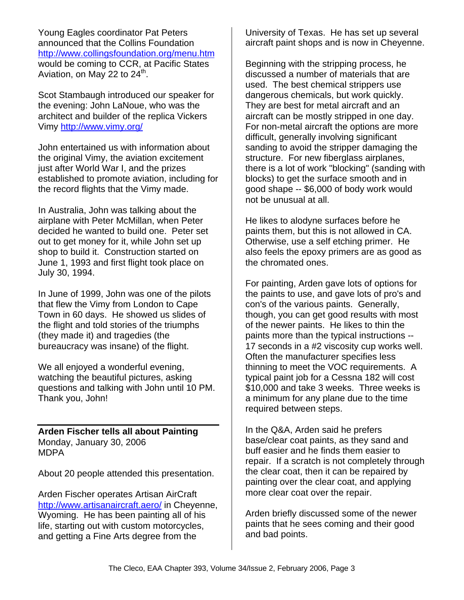Young Eagles coordinator Pat Peters announced that the Collins Foundation http://www.collingsfoundation.org/menu.htm would be coming to CCR, at Pacific States Aviation, on May 22 to  $24^{\text{th}}$ .

Scot Stambaugh introduced our speaker for the evening: John LaNoue, who was the architect and builder of the replica Vickers Vimy http://www.vimy.org/

John entertained us with information about the original Vimy, the aviation excitement just after World War I, and the prizes established to promote aviation, including for the record flights that the Vimy made.

In Australia, John was talking about the airplane with Peter McMillan, when Peter decided he wanted to build one. Peter set out to get money for it, while John set up shop to build it. Construction started on June 1, 1993 and first flight took place on July 30, 1994.

In June of 1999, John was one of the pilots that flew the Vimy from London to Cape Town in 60 days. He showed us slides of the flight and told stories of the triumphs (they made it) and tragedies (the bureaucracy was insane) of the flight.

We all enjoyed a wonderful evening, watching the beautiful pictures, asking questions and talking with John until 10 PM. Thank you, John!

**Arden Fischer tells all about Painting** Monday, January 30, 2006 MDPA

About 20 people attended this presentation.

Arden Fischer operates Artisan AirCraft http://www.artisanaircraft.aero/ in Cheyenne, Wyoming. He has been painting all of his life, starting out with custom motorcycles, and getting a Fine Arts degree from the

University of Texas. He has set up several aircraft paint shops and is now in Cheyenne.

Beginning with the stripping process, he discussed a number of materials that are used. The best chemical strippers use dangerous chemicals, but work quickly. They are best for metal aircraft and an aircraft can be mostly stripped in one day. For non-metal aircraft the options are more difficult, generally involving significant sanding to avoid the stripper damaging the structure. For new fiberglass airplanes, there is a lot of work "blocking" (sanding with blocks) to get the surface smooth and in good shape -- \$6,000 of body work would not be unusual at all.

He likes to alodyne surfaces before he paints them, but this is not allowed in CA. Otherwise, use a self etching primer. He also feels the epoxy primers are as good as the chromated ones.

For painting, Arden gave lots of options for the paints to use, and gave lots of pro's and con's of the various paints. Generally, though, you can get good results with most of the newer paints. He likes to thin the paints more than the typical instructions -- 17 seconds in a #2 viscosity cup works well. Often the manufacturer specifies less thinning to meet the VOC requirements. A typical paint job for a Cessna 182 will cost \$10,000 and take 3 weeks. Three weeks is a minimum for any plane due to the time required between steps.

In the Q&A, Arden said he prefers base/clear coat paints, as they sand and buff easier and he finds them easier to repair. If a scratch is not completely through the clear coat, then it can be repaired by painting over the clear coat, and applying more clear coat over the repair.

Arden briefly discussed some of the newer paints that he sees coming and their good and bad points.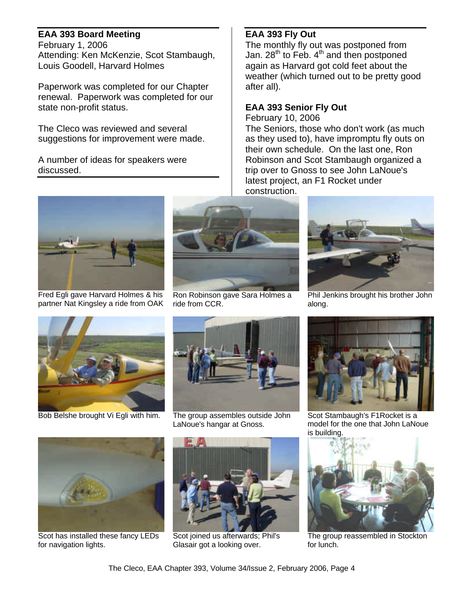## **EAA 393 Board Meeting**

February 1, 2006 Attending: Ken McKenzie, Scot Stambaugh, Louis Goodell, Harvard Holmes

Paperwork was completed for our Chapter renewal. Paperwork was completed for our state non-profit status.

The Cleco was reviewed and several suggestions for improvement were made.

A number of ideas for speakers were discussed.

# **EAA 393 Fly Out**

The monthly fly out was postponed from Jan. 28<sup>th</sup> to Feb.  $4<sup>th</sup>$  and then postponed again as Harvard got cold feet about the weather (which turned out to be pretty good after all).

## **EAA 393 Senior Fly Out**

February 10, 2006 The Seniors, those who don't work (as much as they used to), have impromptu fly outs on their own schedule. On the last one, Ron Robinson and Scot Stambaugh organized a trip over to Gnoss to see John LaNoue's latest project, an F1 Rocket under construction.



Fred Egli gave Harvard Holmes & his partner Nat Kingsley a ride from OAK



Ron Robinson gave Sara Holmes a ride from CCR.



Phil Jenkins brought his brother John along.



Bob Belshe brought Vi Egli with him. The group assembles outside John



LaNoue's hangar at Gnoss.



Scot Stambaugh's F1Rocket is a model for the one that John LaNoue is building.



The group reassembled in Stockton for lunch.



Scot has installed these fancy LEDs for navigation lights.



Scot joined us afterwards; Phil's Glasair got a looking over.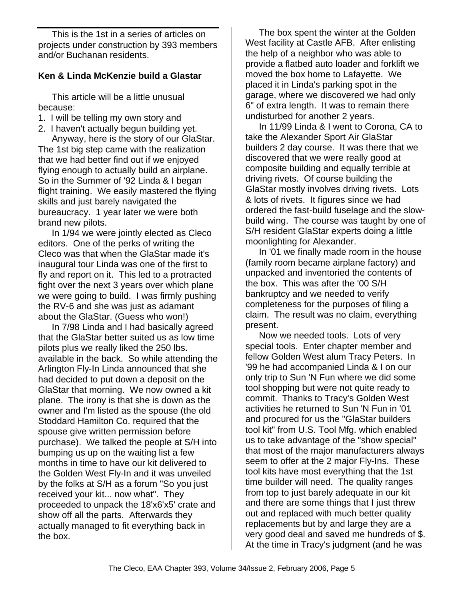This is the 1st in a series of articles on projects under construction by 393 members and/or Buchanan residents.

### **Ken & Linda McKenzie build a Glastar**

This article will be a little unusual because:

- 1. I will be telling my own story and
- 2. I haven't actually begun building yet.

Anyway, here is the story of our GlaStar. The 1st big step came with the realization that we had better find out if we enjoyed flying enough to actually build an airplane. So in the Summer of '92 Linda & I began flight training. We easily mastered the flying skills and just barely navigated the bureaucracy. 1 year later we were both brand new pilots.

In 1/94 we were jointly elected as Cleco editors. One of the perks of writing the Cleco was that when the GlaStar made it's inaugural tour Linda was one of the first to fly and report on it. This led to a protracted fight over the next 3 years over which plane we were going to build. I was firmly pushing the RV-6 and she was just as adamant about the GlaStar. (Guess who won!)

In 7/98 Linda and I had basically agreed that the GlaStar better suited us as low time pilots plus we really liked the 250 lbs. available in the back. So while attending the Arlington Fly-In Linda announced that she had decided to put down a deposit on the GlaStar that morning. We now owned a kit plane. The irony is that she is down as the owner and I'm listed as the spouse (the old Stoddard Hamilton Co. required that the spouse give written permission before purchase). We talked the people at S/H into bumping us up on the waiting list a few months in time to have our kit delivered to the Golden West Fly-In and it was unveiled by the folks at S/H as a forum "So you just received your kit... now what". They proceeded to unpack the 18'x6'x5' crate and show off all the parts. Afterwards they actually managed to fit everything back in the box.

The box spent the winter at the Golden West facility at Castle AFB. After enlisting the help of a neighbor who was able to provide a flatbed auto loader and forklift we moved the box home to Lafayette. We placed it in Linda's parking spot in the garage, where we discovered we had only 6" of extra length. It was to remain there undisturbed for another 2 years.

In 11/99 Linda & I went to Corona, CA to take the Alexander Sport Air GlaStar builders 2 day course. It was there that we discovered that we were really good at composite building and equally terrible at driving rivets. Of course building the GlaStar mostly involves driving rivets. Lots & lots of rivets. It figures since we had ordered the fast-build fuselage and the slowbuild wing. The course was taught by one of S/H resident GlaStar experts doing a little moonlighting for Alexander.

In '01 we finally made room in the house (family room became airplane factory) and unpacked and inventoried the contents of the box. This was after the '00 S/H bankruptcy and we needed to verify completeness for the purposes of filing a claim. The result was no claim, everything present.

Now we needed tools. Lots of very special tools. Enter chapter member and fellow Golden West alum Tracy Peters. In '99 he had accompanied Linda & I on our only trip to Sun 'N Fun where we did some tool shopping but were not quite ready to commit. Thanks to Tracy's Golden West activities he returned to Sun 'N Fun in '01 and procured for us the "GlaStar builders tool kit" from U.S. Tool Mfg. which enabled us to take advantage of the "show special" that most of the major manufacturers always seem to offer at the 2 major Fly-Ins. These tool kits have most everything that the 1st time builder will need. The quality ranges from top to just barely adequate in our kit and there are some things that I just threw out and replaced with much better quality replacements but by and large they are a very good deal and saved me hundreds of \$. At the time in Tracy's judgment (and he was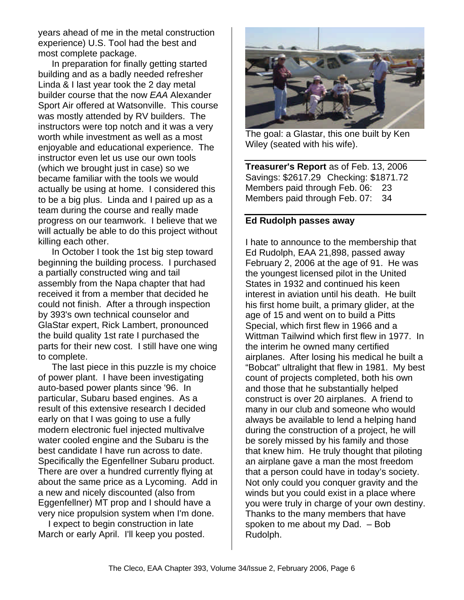years ahead of me in the metal construction experience) U.S. Tool had the best and most complete package.

In preparation for finally getting started building and as a badly needed refresher Linda & I last year took the 2 day metal builder course that the now *EAA* Alexander Sport Air offered at Watsonville. This course was mostly attended by RV builders. The instructors were top notch and it was a very worth while investment as well as a most enjoyable and educational experience. The instructor even let us use our own tools (which we brought just in case) so we became familiar with the tools we would actually be using at home. I considered this to be a big plus. Linda and I paired up as a team during the course and really made progress on our teamwork. I believe that we will actually be able to do this project without killing each other.

In October I took the 1st big step toward beginning the building process. I purchased a partially constructed wing and tail assembly from the Napa chapter that had received it from a member that decided he could not finish. After a through inspection by 393's own technical counselor and GlaStar expert, Rick Lambert, pronounced the build quality 1st rate I purchased the parts for their new cost. I still have one wing to complete.

The last piece in this puzzle is my choice of power plant. I have been investigating auto-based power plants since '96. In particular, Subaru based engines. As a result of this extensive research I decided early on that I was going to use a fully modern electronic fuel injected multivalve water cooled engine and the Subaru is the best candidate I have run across to date. Specifically the Egenfellner Subaru product. There are over a hundred currently flying at about the same price as a Lycoming. Add in a new and nicely discounted (also from Eggenfellner) MT prop and I should have a very nice propulsion system when I'm done.

 I expect to begin construction in late March or early April. I'll keep you posted.



The goal: a Glastar, this one built by Ken Wiley (seated with his wife).

**Treasurer's Report** as of Feb. 13, 2006 Savings: \$2617.29 Checking: \$1871.72 Members paid through Feb. 06: 23 Members paid through Feb. 07: 34

#### **Ed Rudolph passes away**

I hate to announce to the membership that Ed Rudolph, EAA 21,898, passed away February 2, 2006 at the age of 91. He was the youngest licensed pilot in the United States in 1932 and continued his keen interest in aviation until his death. He built his first home built, a primary glider, at the age of 15 and went on to build a Pitts Special, which first flew in 1966 and a Wittman Tailwind which first flew in 1977. In the interim he owned many certified airplanes. After losing his medical he built a "Bobcat" ultralight that flew in 1981. My best count of projects completed, both his own and those that he substantially helped construct is over 20 airplanes. A friend to many in our club and someone who would always be available to lend a helping hand during the construction of a project, he will be sorely missed by his family and those that knew him. He truly thought that piloting an airplane gave a man the most freedom that a person could have in today's society. Not only could you conquer gravity and the winds but you could exist in a place where you were truly in charge of your own destiny. Thanks to the many members that have spoken to me about my Dad. – Bob Rudolph.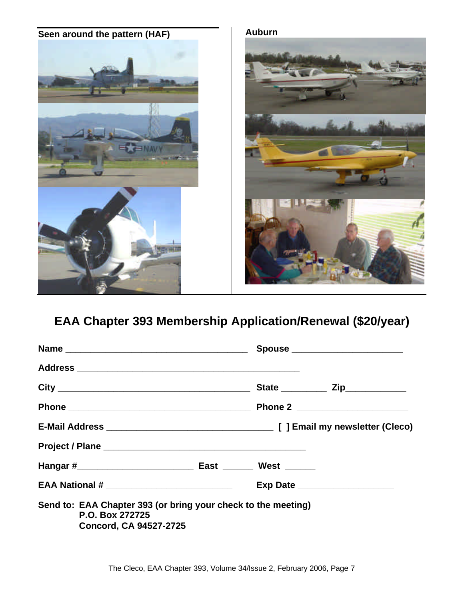

# **EAA Chapter 393 Membership Application/Renewal (\$20/year)**

|                                                                                                                   |  | Spouse _______________________   |
|-------------------------------------------------------------------------------------------------------------------|--|----------------------------------|
|                                                                                                                   |  |                                  |
|                                                                                                                   |  |                                  |
|                                                                                                                   |  |                                  |
|                                                                                                                   |  |                                  |
|                                                                                                                   |  |                                  |
|                                                                                                                   |  |                                  |
|                                                                                                                   |  | Exp Date _______________________ |
| Send to: EAA Chapter 393 (or bring your check to the meeting)<br>P.O. Box 272725<br><b>Concord, CA 94527-2725</b> |  |                                  |